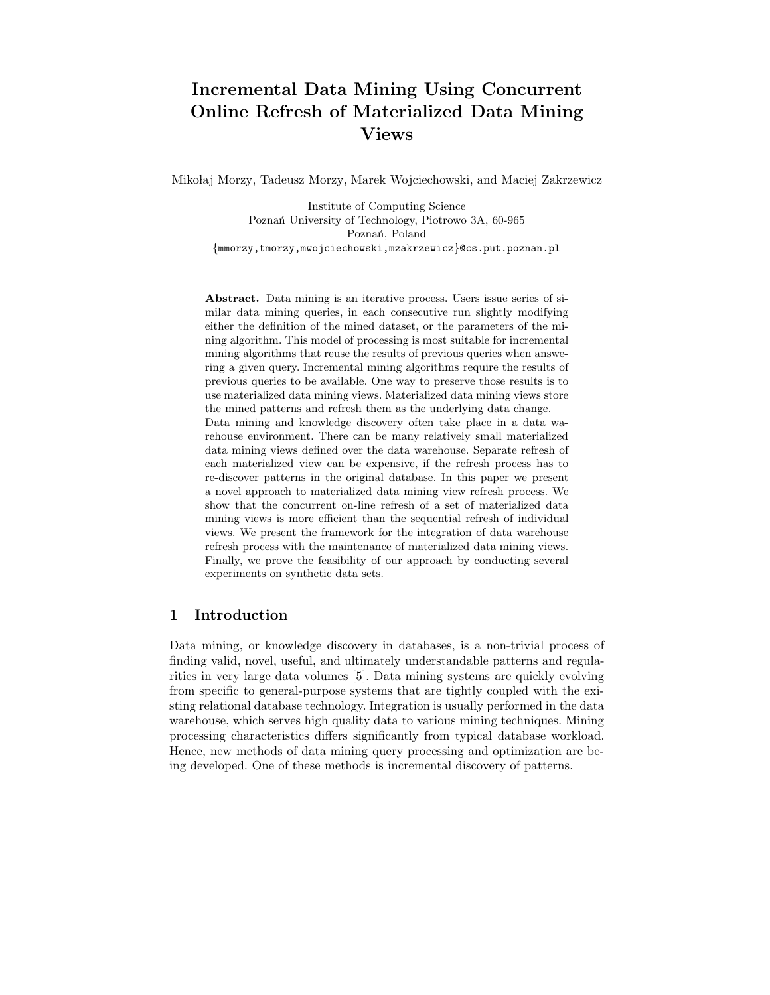# Incremental Data Mining Using Concurrent Online Refresh of Materialized Data Mining Views

Miko laj Morzy, Tadeusz Morzy, Marek Wojciechowski, and Maciej Zakrzewicz

Institute of Computing Science Poznań University of Technology, Piotrowo 3A, 60-965 Poznań, Poland {mmorzy,tmorzy,mwojciechowski,mzakrzewicz}@cs.put.poznan.pl

Abstract. Data mining is an iterative process. Users issue series of similar data mining queries, in each consecutive run slightly modifying either the definition of the mined dataset, or the parameters of the mining algorithm. This model of processing is most suitable for incremental mining algorithms that reuse the results of previous queries when answering a given query. Incremental mining algorithms require the results of previous queries to be available. One way to preserve those results is to use materialized data mining views. Materialized data mining views store the mined patterns and refresh them as the underlying data change. Data mining and knowledge discovery often take place in a data warehouse environment. There can be many relatively small materialized data mining views defined over the data warehouse. Separate refresh of each materialized view can be expensive, if the refresh process has to re-discover patterns in the original database. In this paper we present a novel approach to materialized data mining view refresh process. We show that the concurrent on-line refresh of a set of materialized data mining views is more efficient than the sequential refresh of individual views. We present the framework for the integration of data warehouse refresh process with the maintenance of materialized data mining views. Finally, we prove the feasibility of our approach by conducting several experiments on synthetic data sets.

## 1 Introduction

Data mining, or knowledge discovery in databases, is a non-trivial process of finding valid, novel, useful, and ultimately understandable patterns and regularities in very large data volumes [5]. Data mining systems are quickly evolving from specific to general-purpose systems that are tightly coupled with the existing relational database technology. Integration is usually performed in the data warehouse, which serves high quality data to various mining techniques. Mining processing characteristics differs significantly from typical database workload. Hence, new methods of data mining query processing and optimization are being developed. One of these methods is incremental discovery of patterns.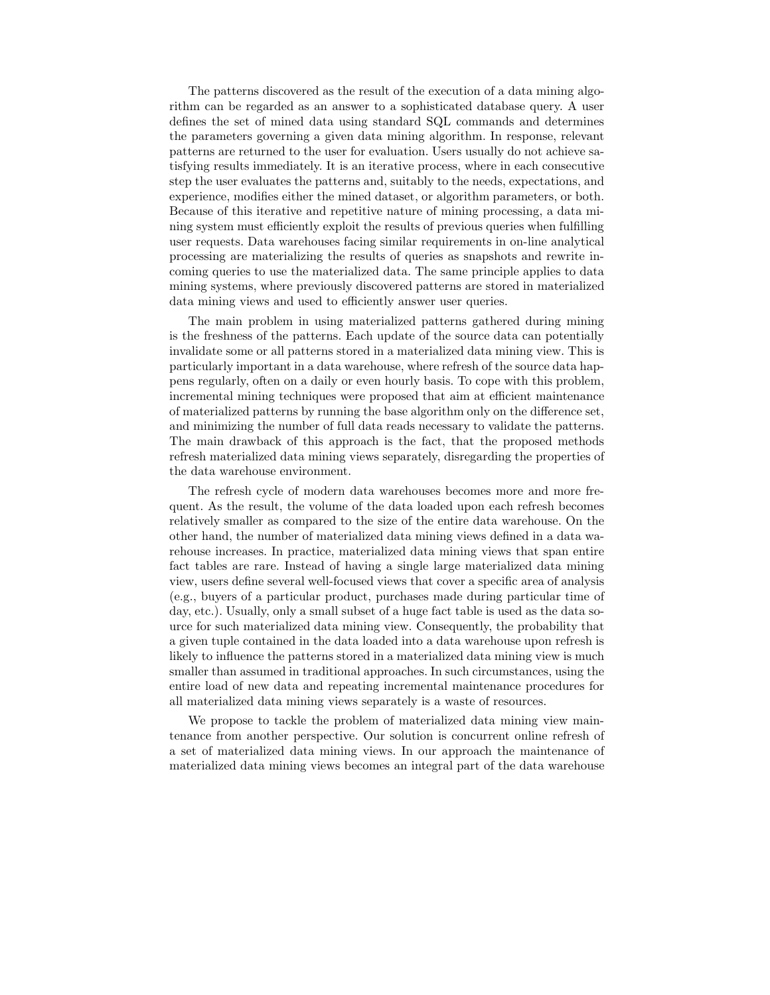The patterns discovered as the result of the execution of a data mining algorithm can be regarded as an answer to a sophisticated database query. A user defines the set of mined data using standard SQL commands and determines the parameters governing a given data mining algorithm. In response, relevant patterns are returned to the user for evaluation. Users usually do not achieve satisfying results immediately. It is an iterative process, where in each consecutive step the user evaluates the patterns and, suitably to the needs, expectations, and experience, modifies either the mined dataset, or algorithm parameters, or both. Because of this iterative and repetitive nature of mining processing, a data mining system must efficiently exploit the results of previous queries when fulfilling user requests. Data warehouses facing similar requirements in on-line analytical processing are materializing the results of queries as snapshots and rewrite incoming queries to use the materialized data. The same principle applies to data mining systems, where previously discovered patterns are stored in materialized data mining views and used to efficiently answer user queries.

The main problem in using materialized patterns gathered during mining is the freshness of the patterns. Each update of the source data can potentially invalidate some or all patterns stored in a materialized data mining view. This is particularly important in a data warehouse, where refresh of the source data happens regularly, often on a daily or even hourly basis. To cope with this problem, incremental mining techniques were proposed that aim at efficient maintenance of materialized patterns by running the base algorithm only on the difference set, and minimizing the number of full data reads necessary to validate the patterns. The main drawback of this approach is the fact, that the proposed methods refresh materialized data mining views separately, disregarding the properties of the data warehouse environment.

The refresh cycle of modern data warehouses becomes more and more frequent. As the result, the volume of the data loaded upon each refresh becomes relatively smaller as compared to the size of the entire data warehouse. On the other hand, the number of materialized data mining views defined in a data warehouse increases. In practice, materialized data mining views that span entire fact tables are rare. Instead of having a single large materialized data mining view, users define several well-focused views that cover a specific area of analysis (e.g., buyers of a particular product, purchases made during particular time of day, etc.). Usually, only a small subset of a huge fact table is used as the data source for such materialized data mining view. Consequently, the probability that a given tuple contained in the data loaded into a data warehouse upon refresh is likely to influence the patterns stored in a materialized data mining view is much smaller than assumed in traditional approaches. In such circumstances, using the entire load of new data and repeating incremental maintenance procedures for all materialized data mining views separately is a waste of resources.

We propose to tackle the problem of materialized data mining view maintenance from another perspective. Our solution is concurrent online refresh of a set of materialized data mining views. In our approach the maintenance of materialized data mining views becomes an integral part of the data warehouse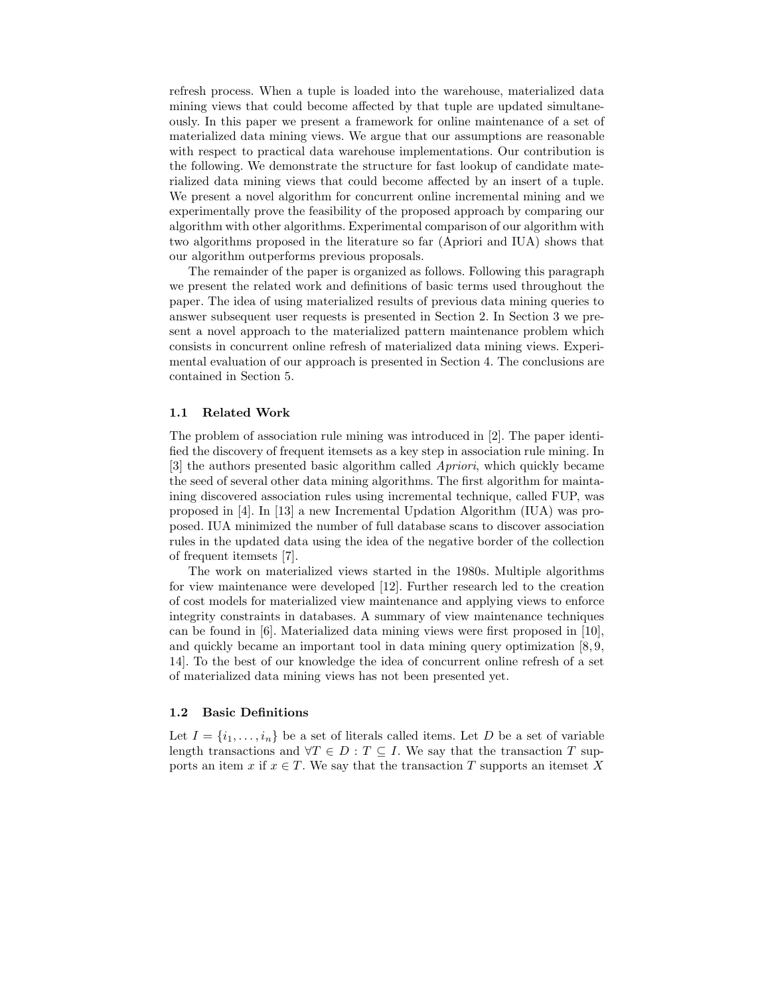refresh process. When a tuple is loaded into the warehouse, materialized data mining views that could become affected by that tuple are updated simultaneously. In this paper we present a framework for online maintenance of a set of materialized data mining views. We argue that our assumptions are reasonable with respect to practical data warehouse implementations. Our contribution is the following. We demonstrate the structure for fast lookup of candidate materialized data mining views that could become affected by an insert of a tuple. We present a novel algorithm for concurrent online incremental mining and we experimentally prove the feasibility of the proposed approach by comparing our algorithm with other algorithms. Experimental comparison of our algorithm with two algorithms proposed in the literature so far (Apriori and IUA) shows that our algorithm outperforms previous proposals.

The remainder of the paper is organized as follows. Following this paragraph we present the related work and definitions of basic terms used throughout the paper. The idea of using materialized results of previous data mining queries to answer subsequent user requests is presented in Section 2. In Section 3 we present a novel approach to the materialized pattern maintenance problem which consists in concurrent online refresh of materialized data mining views. Experimental evaluation of our approach is presented in Section 4. The conclusions are contained in Section 5.

#### 1.1 Related Work

The problem of association rule mining was introduced in [2]. The paper identified the discovery of frequent itemsets as a key step in association rule mining. In [3] the authors presented basic algorithm called Apriori, which quickly became the seed of several other data mining algorithms. The first algorithm for maintaining discovered association rules using incremental technique, called FUP, was proposed in [4]. In [13] a new Incremental Updation Algorithm (IUA) was proposed. IUA minimized the number of full database scans to discover association rules in the updated data using the idea of the negative border of the collection of frequent itemsets [7].

The work on materialized views started in the 1980s. Multiple algorithms for view maintenance were developed [12]. Further research led to the creation of cost models for materialized view maintenance and applying views to enforce integrity constraints in databases. A summary of view maintenance techniques can be found in [6]. Materialized data mining views were first proposed in [10], and quickly became an important tool in data mining query optimization [8,9, 14]. To the best of our knowledge the idea of concurrent online refresh of a set of materialized data mining views has not been presented yet.

#### 1.2 Basic Definitions

Let  $I = \{i_1, \ldots, i_n\}$  be a set of literals called items. Let D be a set of variable length transactions and  $\forall T \in D : T \subseteq I$ . We say that the transaction T supports an item x if  $x \in T$ . We say that the transaction T supports an itemset X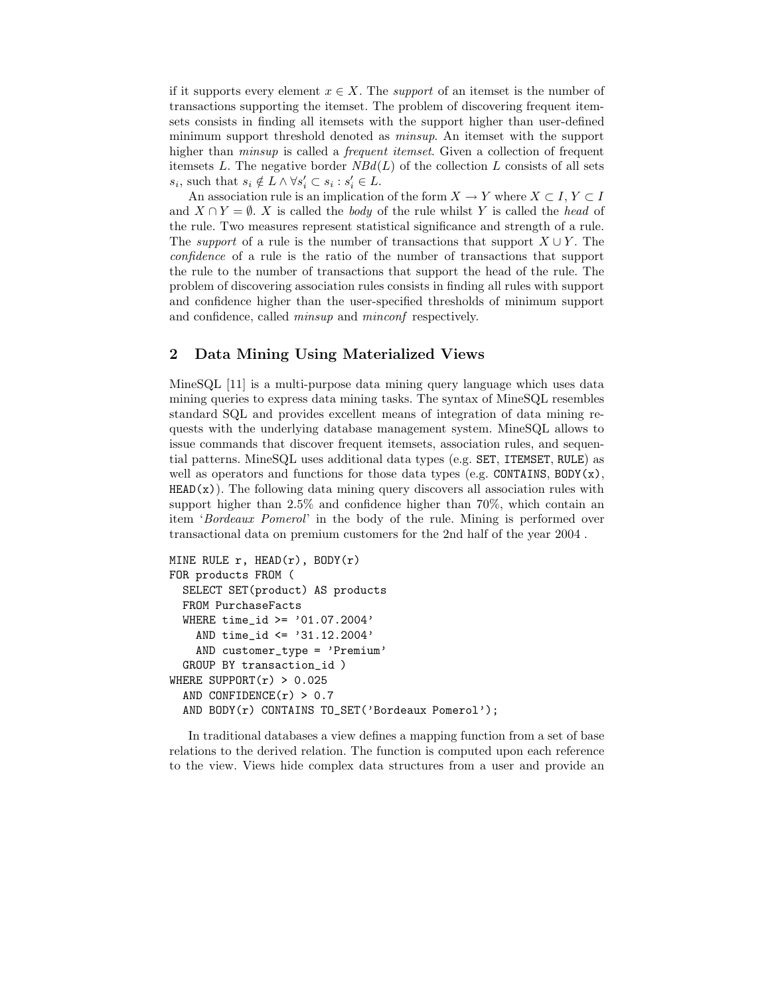if it supports every element  $x \in X$ . The *support* of an itemset is the number of transactions supporting the itemset. The problem of discovering frequent itemsets consists in finding all itemsets with the support higher than user-defined minimum support threshold denoted as minsup. An itemset with the support higher than *minsup* is called a *frequent itemset*. Given a collection of frequent itemsets L. The negative border  $NBd(L)$  of the collection L consists of all sets  $s_i$ , such that  $s_i \notin L \wedge \forall s'_i \subset s_i : s'_i \in L$ .

An association rule is an implication of the form  $X \to Y$  where  $X \subset I, Y \subset I$ and  $X \cap Y = \emptyset$ . X is called the body of the rule whilst Y is called the head of the rule. Two measures represent statistical significance and strength of a rule. The support of a rule is the number of transactions that support  $X \cup Y$ . The confidence of a rule is the ratio of the number of transactions that support the rule to the number of transactions that support the head of the rule. The problem of discovering association rules consists in finding all rules with support and confidence higher than the user-specified thresholds of minimum support and confidence, called minsup and minconf respectively.

## 2 Data Mining Using Materialized Views

MineSQL [11] is a multi-purpose data mining query language which uses data mining queries to express data mining tasks. The syntax of MineSQL resembles standard SQL and provides excellent means of integration of data mining requests with the underlying database management system. MineSQL allows to issue commands that discover frequent itemsets, association rules, and sequential patterns. MineSQL uses additional data types (e.g. SET, ITEMSET, RULE) as well as operators and functions for those data types (e.g. CONTAINS, BODY $(x)$ ,  $HEAD(x)$ . The following data mining query discovers all association rules with support higher than 2.5% and confidence higher than 70%, which contain an item 'Bordeaux Pomerol' in the body of the rule. Mining is performed over transactional data on premium customers for the 2nd half of the year 2004 .

```
MINE RULE r, HEAD(r), BODY(r)
FOR products FROM (
  SELECT SET(product) AS products
 FROM PurchaseFacts
  WHERE time_id >= '01.07.2004'
    AND time_id <= '31.12.2004'
    AND customer_type = 'Premium'
  GROUP BY transaction_id )
WHERE SUPPORT(r) > 0.025AND CONFIDENCE(r) > 0.7AND BODY(r) CONTAINS TO_SET('Bordeaux Pomerol');
```
In traditional databases a view defines a mapping function from a set of base relations to the derived relation. The function is computed upon each reference to the view. Views hide complex data structures from a user and provide an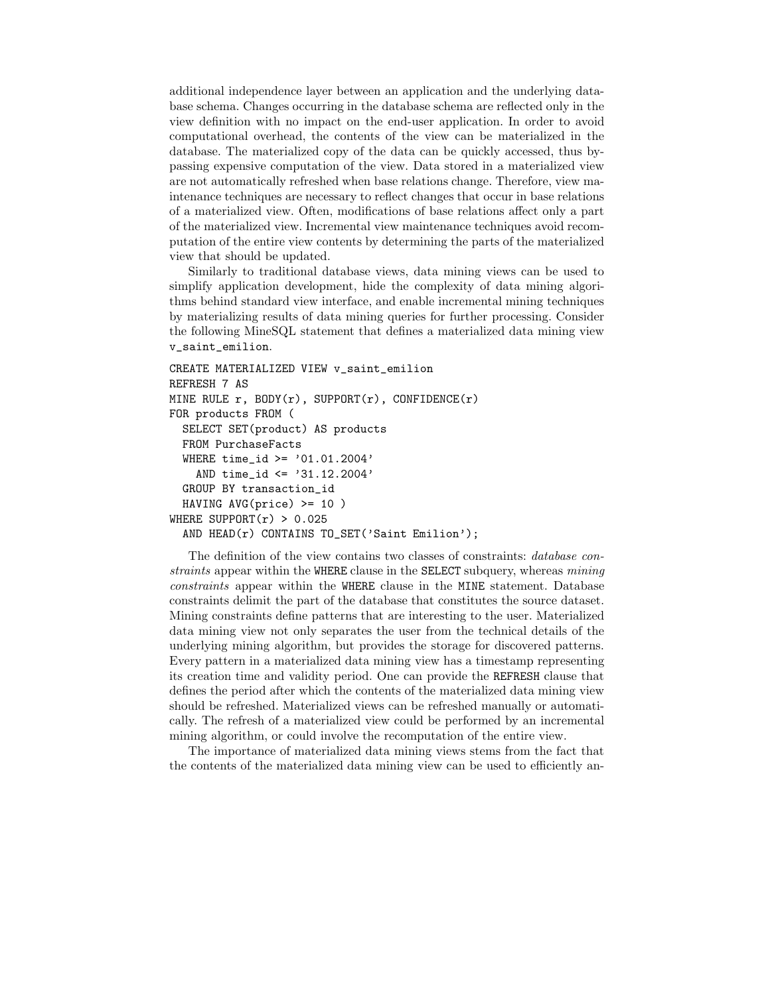additional independence layer between an application and the underlying database schema. Changes occurring in the database schema are reflected only in the view definition with no impact on the end-user application. In order to avoid computational overhead, the contents of the view can be materialized in the database. The materialized copy of the data can be quickly accessed, thus bypassing expensive computation of the view. Data stored in a materialized view are not automatically refreshed when base relations change. Therefore, view maintenance techniques are necessary to reflect changes that occur in base relations of a materialized view. Often, modifications of base relations affect only a part of the materialized view. Incremental view maintenance techniques avoid recomputation of the entire view contents by determining the parts of the materialized view that should be updated.

Similarly to traditional database views, data mining views can be used to simplify application development, hide the complexity of data mining algorithms behind standard view interface, and enable incremental mining techniques by materializing results of data mining queries for further processing. Consider the following MineSQL statement that defines a materialized data mining view v\_saint\_emilion.

```
CREATE MATERIALIZED VIEW v_saint_emilion
REFRESH 7 AS
MINE RULE r, BODY(r), SUPPORT(r), CONFIDENCE(r)
FOR products FROM (
 SELECT SET(product) AS products
 FROM PurchaseFacts
 WHERE time_id >= '01.01.2004'
    AND time_id <= '31.12.2004'
  GROUP BY transaction_id
 HAVING AVG(price) >= 10 )
WHERE SUPPORT(r) > 0.025AND HEAD(r) CONTAINS TO_SET('Saint Emilion');
```
The definition of the view contains two classes of constraints: database constraints appear within the WHERE clause in the SELECT subquery, whereas mining constraints appear within the WHERE clause in the MINE statement. Database constraints delimit the part of the database that constitutes the source dataset. Mining constraints define patterns that are interesting to the user. Materialized data mining view not only separates the user from the technical details of the underlying mining algorithm, but provides the storage for discovered patterns. Every pattern in a materialized data mining view has a timestamp representing its creation time and validity period. One can provide the REFRESH clause that defines the period after which the contents of the materialized data mining view should be refreshed. Materialized views can be refreshed manually or automatically. The refresh of a materialized view could be performed by an incremental mining algorithm, or could involve the recomputation of the entire view.

The importance of materialized data mining views stems from the fact that the contents of the materialized data mining view can be used to efficiently an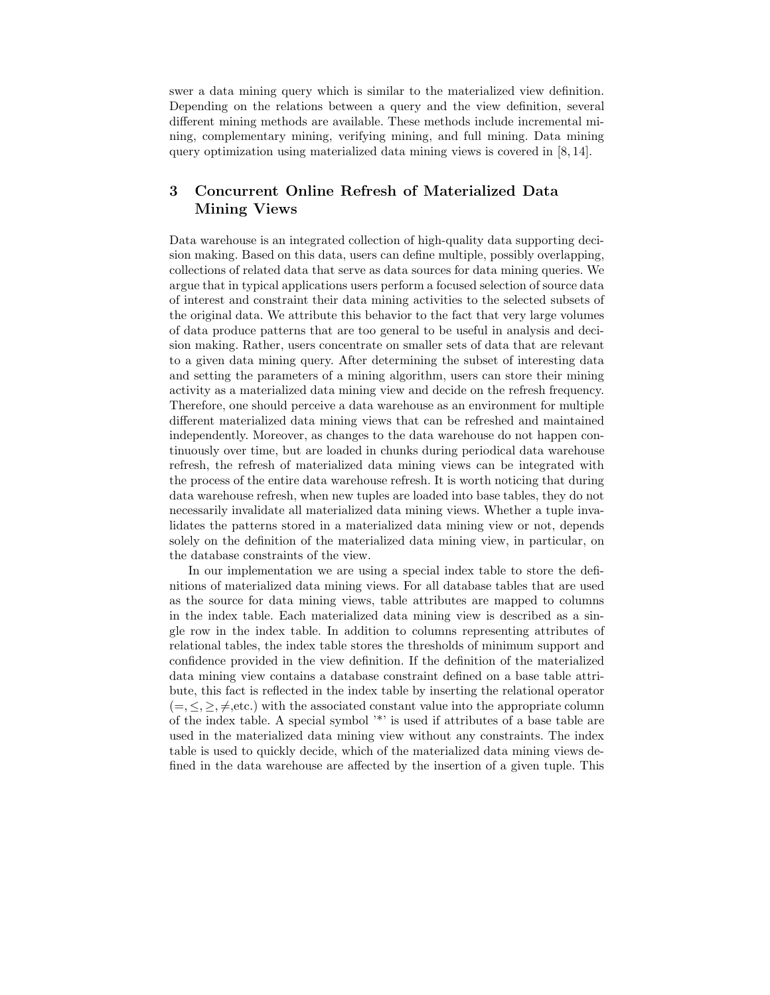swer a data mining query which is similar to the materialized view definition. Depending on the relations between a query and the view definition, several different mining methods are available. These methods include incremental mining, complementary mining, verifying mining, and full mining. Data mining query optimization using materialized data mining views is covered in [8, 14].

# 3 Concurrent Online Refresh of Materialized Data Mining Views

Data warehouse is an integrated collection of high-quality data supporting decision making. Based on this data, users can define multiple, possibly overlapping, collections of related data that serve as data sources for data mining queries. We argue that in typical applications users perform a focused selection of source data of interest and constraint their data mining activities to the selected subsets of the original data. We attribute this behavior to the fact that very large volumes of data produce patterns that are too general to be useful in analysis and decision making. Rather, users concentrate on smaller sets of data that are relevant to a given data mining query. After determining the subset of interesting data and setting the parameters of a mining algorithm, users can store their mining activity as a materialized data mining view and decide on the refresh frequency. Therefore, one should perceive a data warehouse as an environment for multiple different materialized data mining views that can be refreshed and maintained independently. Moreover, as changes to the data warehouse do not happen continuously over time, but are loaded in chunks during periodical data warehouse refresh, the refresh of materialized data mining views can be integrated with the process of the entire data warehouse refresh. It is worth noticing that during data warehouse refresh, when new tuples are loaded into base tables, they do not necessarily invalidate all materialized data mining views. Whether a tuple invalidates the patterns stored in a materialized data mining view or not, depends solely on the definition of the materialized data mining view, in particular, on the database constraints of the view.

In our implementation we are using a special index table to store the definitions of materialized data mining views. For all database tables that are used as the source for data mining views, table attributes are mapped to columns in the index table. Each materialized data mining view is described as a single row in the index table. In addition to columns representing attributes of relational tables, the index table stores the thresholds of minimum support and confidence provided in the view definition. If the definition of the materialized data mining view contains a database constraint defined on a base table attribute, this fact is reflected in the index table by inserting the relational operator  $(=,\leq,\geq,\neq,\text{etc.})$  with the associated constant value into the appropriate column of the index table. A special symbol '\*' is used if attributes of a base table are used in the materialized data mining view without any constraints. The index table is used to quickly decide, which of the materialized data mining views defined in the data warehouse are affected by the insertion of a given tuple. This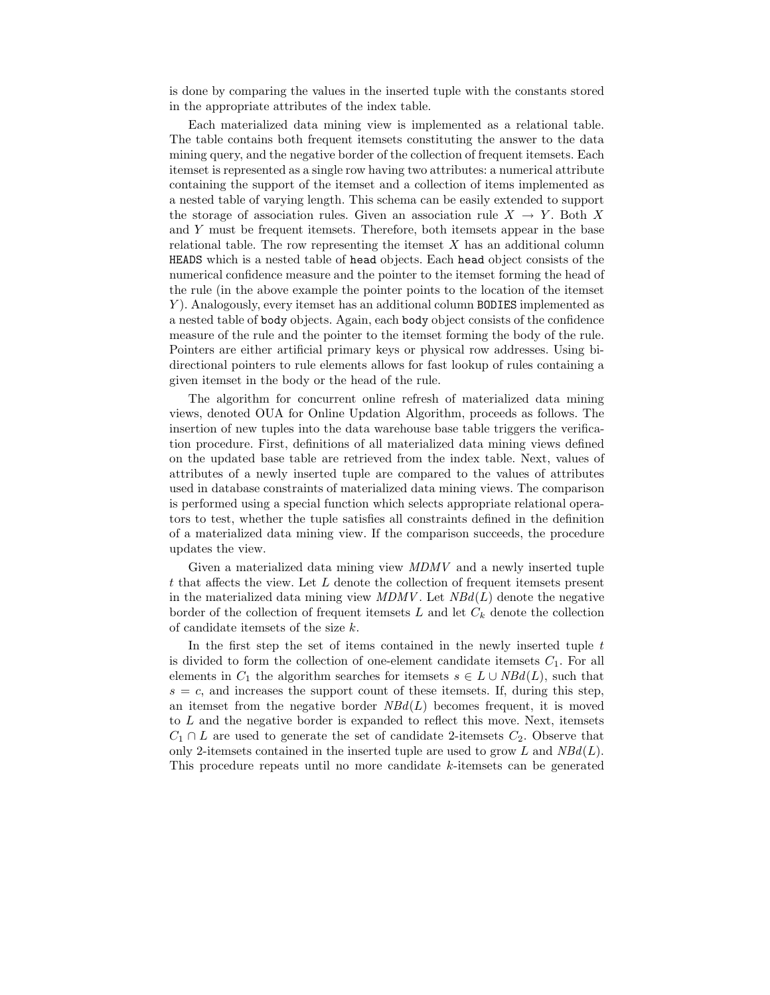is done by comparing the values in the inserted tuple with the constants stored in the appropriate attributes of the index table.

Each materialized data mining view is implemented as a relational table. The table contains both frequent itemsets constituting the answer to the data mining query, and the negative border of the collection of frequent itemsets. Each itemset is represented as a single row having two attributes: a numerical attribute containing the support of the itemset and a collection of items implemented as a nested table of varying length. This schema can be easily extended to support the storage of association rules. Given an association rule  $X \to Y$ . Both X and  $Y$  must be frequent itemsets. Therefore, both itemsets appear in the base relational table. The row representing the itemset  $X$  has an additional column HEADS which is a nested table of head objects. Each head object consists of the numerical confidence measure and the pointer to the itemset forming the head of the rule (in the above example the pointer points to the location of the itemset Y). Analogously, every itemset has an additional column BODIES implemented as a nested table of body objects. Again, each body object consists of the confidence measure of the rule and the pointer to the itemset forming the body of the rule. Pointers are either artificial primary keys or physical row addresses. Using bidirectional pointers to rule elements allows for fast lookup of rules containing a given itemset in the body or the head of the rule.

The algorithm for concurrent online refresh of materialized data mining views, denoted OUA for Online Updation Algorithm, proceeds as follows. The insertion of new tuples into the data warehouse base table triggers the verification procedure. First, definitions of all materialized data mining views defined on the updated base table are retrieved from the index table. Next, values of attributes of a newly inserted tuple are compared to the values of attributes used in database constraints of materialized data mining views. The comparison is performed using a special function which selects appropriate relational operators to test, whether the tuple satisfies all constraints defined in the definition of a materialized data mining view. If the comparison succeeds, the procedure updates the view.

Given a materialized data mining view MDMV and a newly inserted tuple t that affects the view. Let L denote the collection of frequent itemsets present in the materialized data mining view  $MDMV$ . Let  $NBd(L)$  denote the negative border of the collection of frequent itemsets  $L$  and let  $C_k$  denote the collection of candidate itemsets of the size k.

In the first step the set of items contained in the newly inserted tuple  $t$ is divided to form the collection of one-element candidate itemsets  $C_1$ . For all elements in  $C_1$  the algorithm searches for itemsets  $s \in L \cup NBd(L)$ , such that  $s = c$ , and increases the support count of these itemsets. If, during this step, an itemset from the negative border  $NBd(L)$  becomes frequent, it is moved to  $L$  and the negative border is expanded to reflect this move. Next, itemsets  $C_1 \cap L$  are used to generate the set of candidate 2-itemsets  $C_2$ . Observe that only 2-itemsets contained in the inserted tuple are used to grow  $L$  and  $NBd(L)$ . This procedure repeats until no more candidate k-itemsets can be generated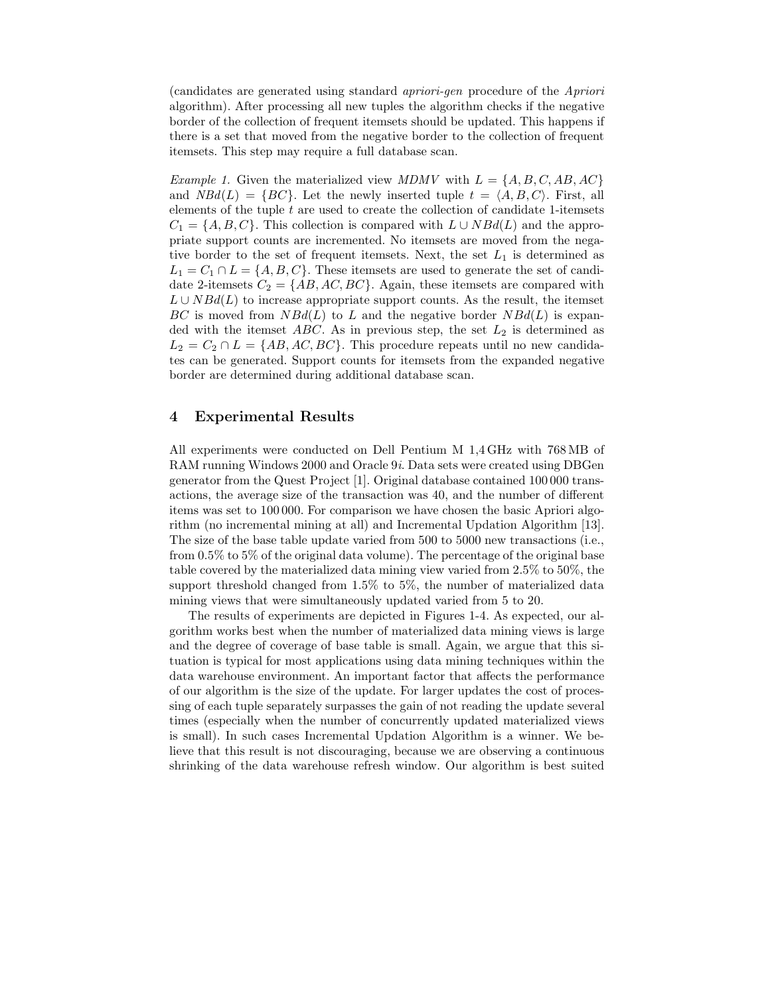(candidates are generated using standard apriori-gen procedure of the Apriori algorithm). After processing all new tuples the algorithm checks if the negative border of the collection of frequent itemsets should be updated. This happens if there is a set that moved from the negative border to the collection of frequent itemsets. This step may require a full database scan.

*Example 1.* Given the materialized view MDMV with  $L = \{A, B, C, AB, AC\}$ and  $N B d(L) = \{ BC \}$ . Let the newly inserted tuple  $t = \langle A, B, C \rangle$ . First, all elements of the tuple  $t$  are used to create the collection of candidate 1-itemsets  $C_1 = \{A, B, C\}$ . This collection is compared with  $L \cup NBd(L)$  and the appropriate support counts are incremented. No itemsets are moved from the negative border to the set of frequent itemsets. Next, the set  $L_1$  is determined as  $L_1 = C_1 \cap L = \{A, B, C\}$ . These itemsets are used to generate the set of candidate 2-itemsets  $C_2 = \{AB, AC, BC\}$ . Again, these itemsets are compared with  $L \cup NBd(L)$  to increase appropriate support counts. As the result, the itemset BC is moved from  $NBd(L)$  to L and the negative border  $NBd(L)$  is expanded with the itemset  $ABC$ . As in previous step, the set  $L_2$  is determined as  $L_2 = C_2 \cap L = \{AB, AC, BC\}.$  This procedure repeats until no new candidates can be generated. Support counts for itemsets from the expanded negative border are determined during additional database scan.

#### 4 Experimental Results

All experiments were conducted on Dell Pentium M 1,4GHz with 768MB of RAM running Windows 2000 and Oracle 9i. Data sets were created using DBGen generator from the Quest Project [1]. Original database contained 100000 transactions, the average size of the transaction was 40, and the number of different items was set to 100000. For comparison we have chosen the basic Apriori algorithm (no incremental mining at all) and Incremental Updation Algorithm [13]. The size of the base table update varied from 500 to 5000 new transactions (i.e., from 0.5% to 5% of the original data volume). The percentage of the original base table covered by the materialized data mining view varied from 2.5% to 50%, the support threshold changed from 1.5% to 5%, the number of materialized data mining views that were simultaneously updated varied from 5 to 20.

The results of experiments are depicted in Figures 1-4. As expected, our algorithm works best when the number of materialized data mining views is large and the degree of coverage of base table is small. Again, we argue that this situation is typical for most applications using data mining techniques within the data warehouse environment. An important factor that affects the performance of our algorithm is the size of the update. For larger updates the cost of processing of each tuple separately surpasses the gain of not reading the update several times (especially when the number of concurrently updated materialized views is small). In such cases Incremental Updation Algorithm is a winner. We believe that this result is not discouraging, because we are observing a continuous shrinking of the data warehouse refresh window. Our algorithm is best suited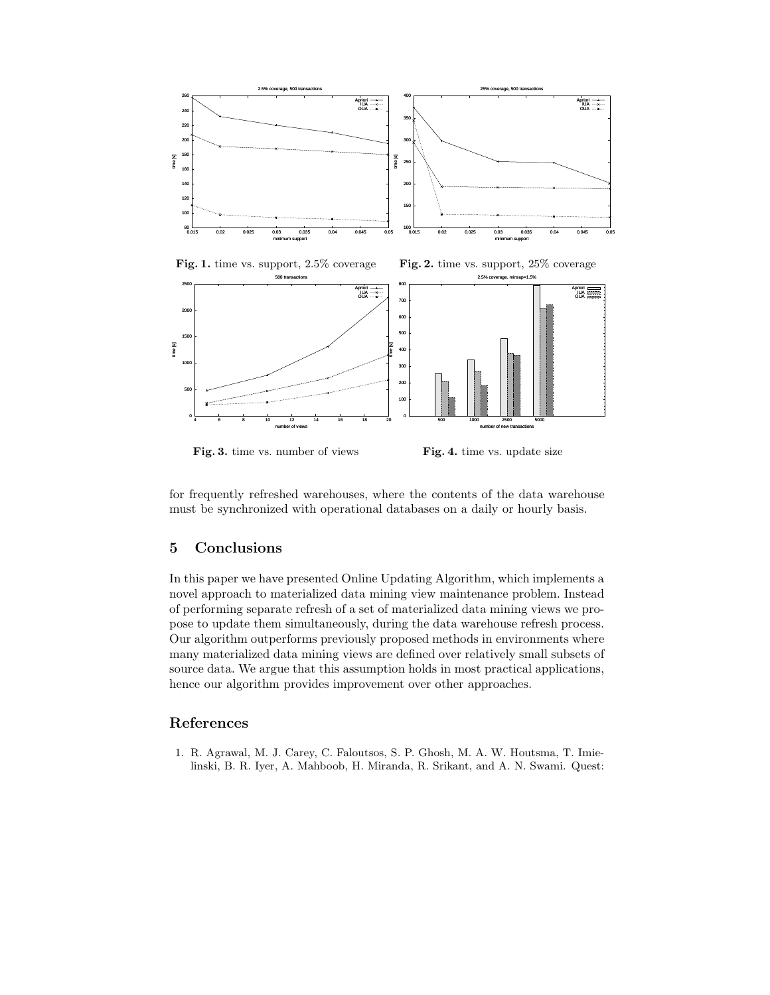

Fig. 3. time vs. number of views Fig. 4. time vs. update size

for frequently refreshed warehouses, where the contents of the data warehouse must be synchronized with operational databases on a daily or hourly basis.

# 5 Conclusions

In this paper we have presented Online Updating Algorithm, which implements a novel approach to materialized data mining view maintenance problem. Instead of performing separate refresh of a set of materialized data mining views we propose to update them simultaneously, during the data warehouse refresh process. Our algorithm outperforms previously proposed methods in environments where many materialized data mining views are defined over relatively small subsets of source data. We argue that this assumption holds in most practical applications, hence our algorithm provides improvement over other approaches.

# References

1. R. Agrawal, M. J. Carey, C. Faloutsos, S. P. Ghosh, M. A. W. Houtsma, T. Imielinski, B. R. Iyer, A. Mahboob, H. Miranda, R. Srikant, and A. N. Swami. Quest: